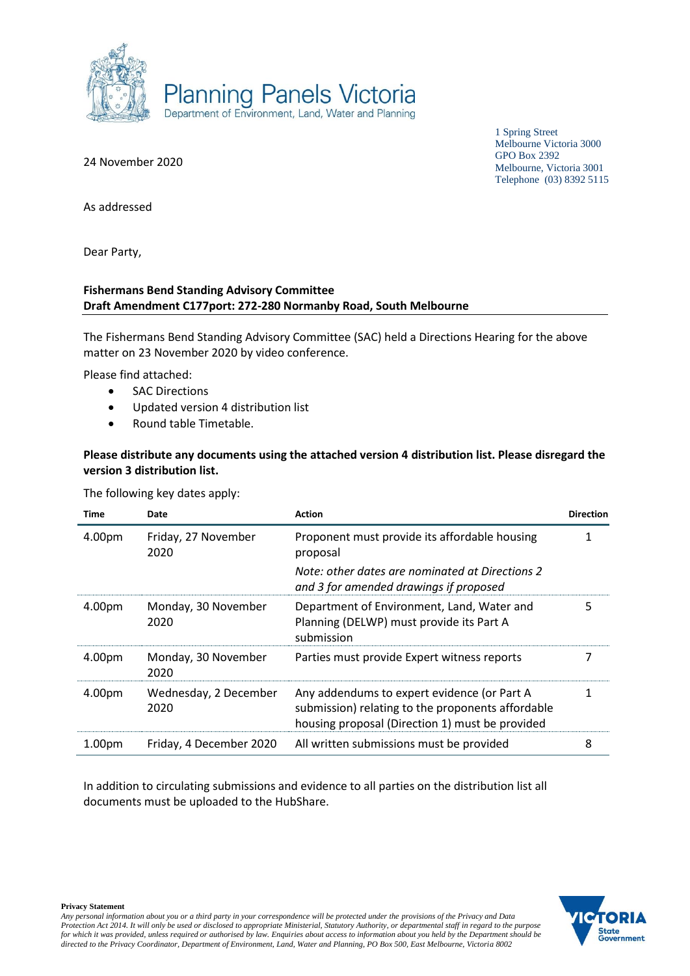

1 Spring Street Melbourne Victoria 3000 GPO Box 2392 Melbourne, Victoria 3001 Telephone (03) 8392 5115

24 November 2020

As addressed

Dear Party,

#### **Fishermans Bend Standing Advisory Committee Draft Amendment C177port: 272-280 Normanby Road, South Melbourne**

The Fishermans Bend Standing Advisory Committee (SAC) held a Directions Hearing for the above matter on 23 November 2020 by video conference.

Please find attached:

- **SAC Directions**
- Updated version 4 distribution list
- Round table Timetable.

### **Please distribute any documents using the attached version 4 distribution list. Please disregard the version 3 distribution list.**

The following key dates apply:

| Time               | Date                          | <b>Action</b>                                                                                                                                       | <b>Direction</b> |
|--------------------|-------------------------------|-----------------------------------------------------------------------------------------------------------------------------------------------------|------------------|
| 4.00pm             | Friday, 27 November<br>2020   | Proponent must provide its affordable housing<br>proposal                                                                                           |                  |
|                    |                               | Note: other dates are nominated at Directions 2<br>and 3 for amended drawings if proposed                                                           |                  |
| 4.00pm             | Monday, 30 November<br>2020   | Department of Environment, Land, Water and<br>Planning (DELWP) must provide its Part A<br>submission                                                | 5                |
| 4.00pm             | Monday, 30 November<br>2020   | Parties must provide Expert witness reports                                                                                                         |                  |
| 4.00pm             | Wednesday, 2 December<br>2020 | Any addendums to expert evidence (or Part A<br>submission) relating to the proponents affordable<br>housing proposal (Direction 1) must be provided |                  |
| 1.00 <sub>pm</sub> | Friday, 4 December 2020       | All written submissions must be provided                                                                                                            | 8                |

In addition to circulating submissions and evidence to all parties on the distribution list all documents must be uploaded to the HubShare.



**Privacy Statement**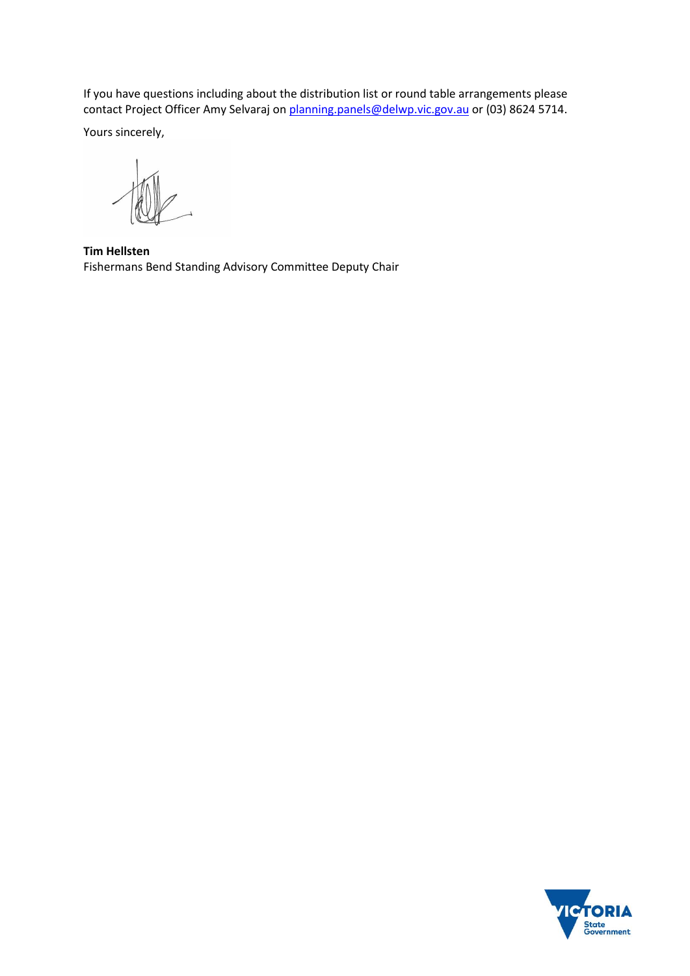If you have questions including about the distribution list or round table arrangements please contact Project Officer Amy Selvaraj o[n planning.panels@delwp.vic.gov.au](mailto:planning.panels@delwp.vic.gov.au) or (03) 8624 5714.

Yours sincerely,

**Tim Hellsten** Fishermans Bend Standing Advisory Committee Deputy Chair

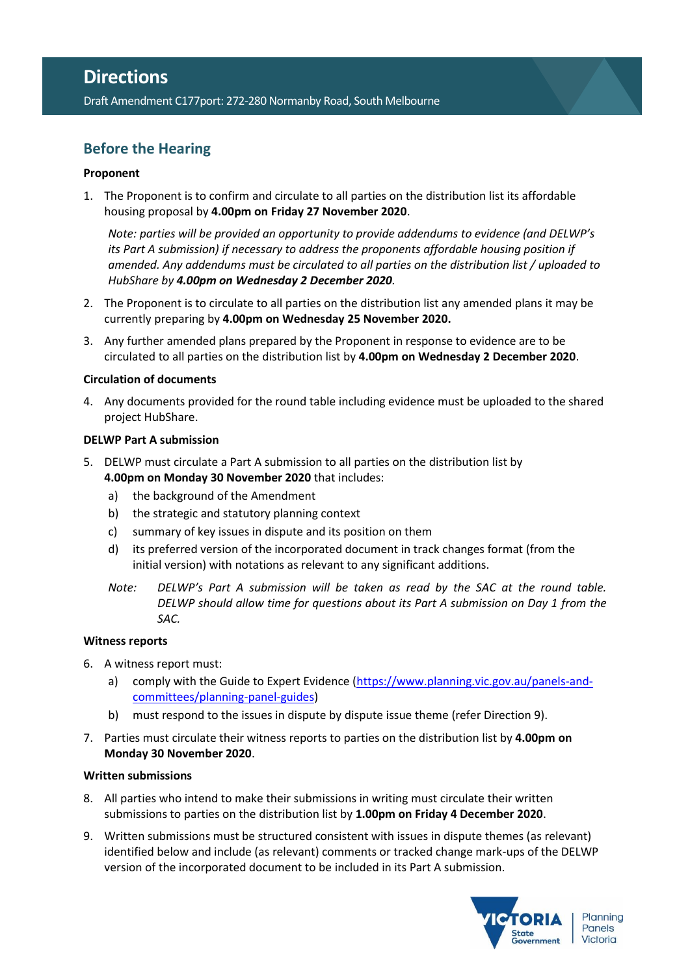Draft Amendment C177port: 272-280 Normanby Road, South Melbourne

# **Before the Hearing**

#### **Proponent**

1. The Proponent is to confirm and circulate to all parties on the distribution list its affordable housing proposal by **4.00pm on Friday 27 November 2020**.

*Note: parties will be provided an opportunity to provide addendums to evidence (and DELWP's its Part A submission) if necessary to address the proponents affordable housing position if amended. Any addendums must be circulated to all parties on the distribution list / uploaded to HubShare by 4.00pm on Wednesday 2 December 2020.*

- 2. The Proponent is to circulate to all parties on the distribution list any amended plans it may be currently preparing by **4.00pm on Wednesday 25 November 2020.**
- 3. Any further amended plans prepared by the Proponent in response to evidence are to be circulated to all parties on the distribution list by **4.00pm on Wednesday 2 December 2020**.

#### **Circulation of documents**

4. Any documents provided for the round table including evidence must be uploaded to the shared project HubShare.

#### **DELWP Part A submission**

- <span id="page-2-0"></span>5. DELWP must circulate a Part A submission to all parties on the distribution list by **4.00pm on Monday 30 November 2020** that includes:
	- a) the background of the Amendment
	- b) the strategic and statutory planning context
	- c) summary of key issues in dispute and its position on them
	- d) its preferred version of the incorporated document in track changes format (from the initial version) with notations as relevant to any significant additions.
	- *Note: DELWP's Part A submission will be taken as read by the SAC at the round table. DELWP should allow time for questions about its Part A submission on Day 1 from the SAC.*

#### **Witness reports**

- 6. A witness report must:
	- a) comply with the Guide to Expert Evidence [\(https://www.planning.vic.gov.au/panels-and](https://www.planning.vic.gov.au/panels-and-committees/planning-panel-guides)[committees/planning-panel-guides\)](https://www.planning.vic.gov.au/panels-and-committees/planning-panel-guides)
	- b) must respond to the issues in dispute by dispute issue theme (refer Direction 9).
- <span id="page-2-1"></span>7. Parties must circulate their witness reports to parties on the distribution list by **4.00pm on Monday 30 November 2020**.

#### **Written submissions**

- 8. All parties who intend to make their submissions in writing must circulate their written submissions to parties on the distribution list by **1.00pm on Friday 4 December 2020**.
- 9. Written submissions must be structured consistent with issues in dispute themes (as relevant) identified below and include (as relevant) comments or tracked change mark-ups of the DELWP version of the incorporated document to be included in its Part A submission.

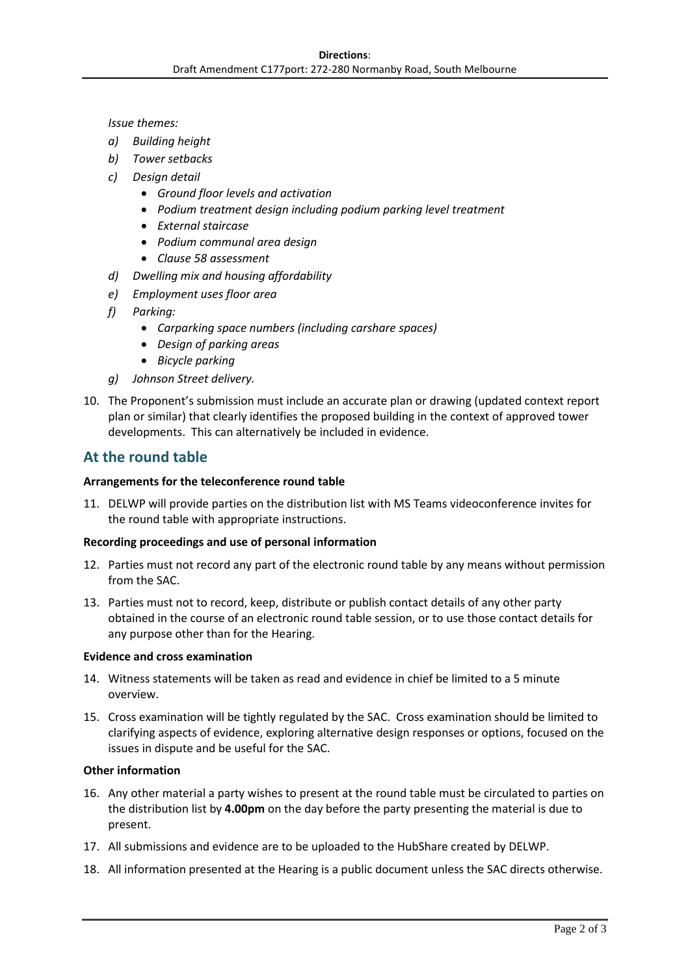*Issue themes:*

- *a) Building height*
- *b) Tower setbacks*
- *c) Design detail*
	- *Ground floor levels and activation*
	- *Podium treatment design including podium parking level treatment*
	- *External staircase*
	- *Podium communal area design*
	- *Clause 58 assessment*
- *d) Dwelling mix and housing affordability*
- *e) Employment uses floor area*
- *f) Parking:*
	- *Carparking space numbers (including carshare spaces)*
	- *Design of parking areas*
	- *Bicycle parking*
- *g) Johnson Street delivery.*
- 10. The Proponent's submission must include an accurate plan or drawing (updated context report plan or similar) that clearly identifies the proposed building in the context of approved tower developments. This can alternatively be included in evidence.

# **At the round table**

#### **Arrangements for the teleconference round table**

11. DELWP will provide parties on the distribution list with MS Teams videoconference invites for the round table with appropriate instructions.

#### **Recording proceedings and use of personal information**

- 12. Parties must not record any part of the electronic round table by any means without permission from the SAC.
- 13. Parties must not to record, keep, distribute or publish contact details of any other party obtained in the course of an electronic round table session, or to use those contact details for any purpose other than for the Hearing.

#### **Evidence and cross examination**

- 14. Witness statements will be taken as read and evidence in chief be limited to a 5 minute overview.
- 15. Cross examination will be tightly regulated by the SAC. Cross examination should be limited to clarifying aspects of evidence, exploring alternative design responses or options, focused on the issues in dispute and be useful for the SAC.

#### **Other information**

- 16. Any other material a party wishes to present at the round table must be circulated to parties on the distribution list by **4.00pm** on the day before the party presenting the material is due to present.
- 17. All submissions and evidence are to be uploaded to the HubShare created by DELWP.
- 18. All information presented at the Hearing is a public document unless the SAC directs otherwise.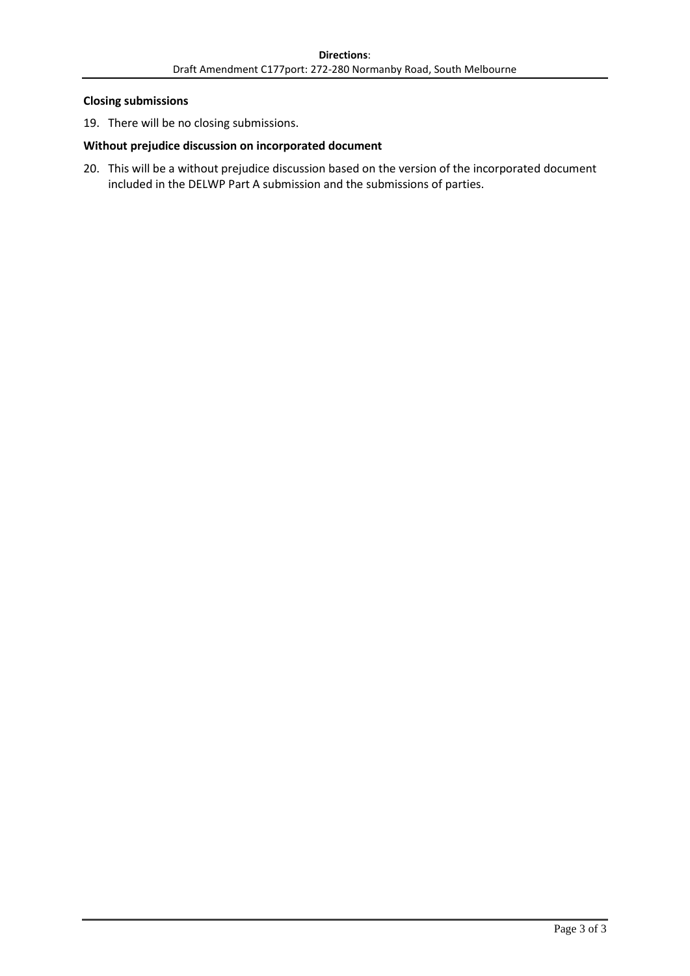#### **Closing submissions**

19. There will be no closing submissions.

### **Without prejudice discussion on incorporated document**

20. This will be a without prejudice discussion based on the version of the incorporated document included in the DELWP Part A submission and the submissions of parties.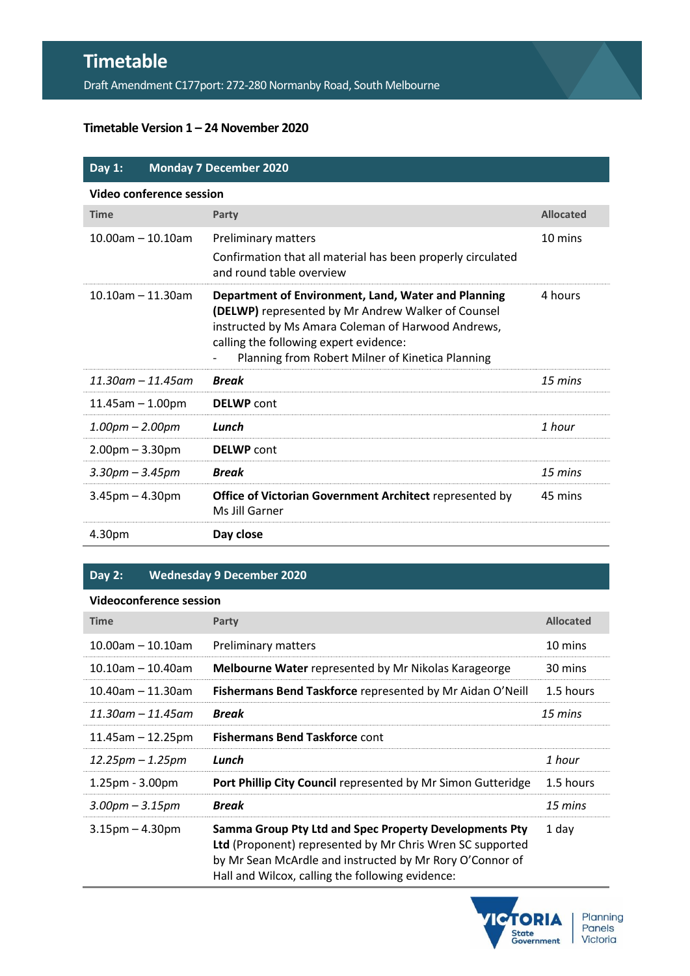# **Timetable**

Draft Amendment C177port: 272-280 Normanby Road, South Melbourne

## **Timetable Version 1 – 24 November 2020**

| Day $1:$                 | <b>Monday 7 December 2020</b>                                                                                                                                                                                                                                 |                  |  |  |
|--------------------------|---------------------------------------------------------------------------------------------------------------------------------------------------------------------------------------------------------------------------------------------------------------|------------------|--|--|
| Video conference session |                                                                                                                                                                                                                                                               |                  |  |  |
| <b>Time</b>              | Party                                                                                                                                                                                                                                                         | <b>Allocated</b> |  |  |
| $10.00$ am - 10.10am     | <b>Preliminary matters</b><br>Confirmation that all material has been properly circulated<br>and round table overview                                                                                                                                         | 10 mins          |  |  |
| $10.10$ am $- 11.30$ am  | Department of Environment, Land, Water and Planning<br>(DELWP) represented by Mr Andrew Walker of Counsel<br>instructed by Ms Amara Coleman of Harwood Andrews,<br>calling the following expert evidence:<br>Planning from Robert Milner of Kinetica Planning | 4 hours          |  |  |
| $11.30$ am – 11.45am     | <b>Break</b>                                                                                                                                                                                                                                                  | 15 mins          |  |  |
| $11.45$ am $- 1.00$ pm   | <b>DELWP</b> cont                                                                                                                                                                                                                                             |                  |  |  |
| $1.00pm - 2.00pm$        | Lunch                                                                                                                                                                                                                                                         | 1 hour           |  |  |
| $2.00pm - 3.30pm$        | <b>DELWP</b> cont                                                                                                                                                                                                                                             |                  |  |  |
| $3.30$ pm – $3.45$ pm    | <b>Break</b>                                                                                                                                                                                                                                                  | 15 mins          |  |  |
| $3.45$ pm $- 4.30$ pm    | <b>Office of Victorian Government Architect represented by</b><br>Ms Jill Garner                                                                                                                                                                              | 45 mins          |  |  |
| 4.30pm                   | Day close                                                                                                                                                                                                                                                     |                  |  |  |

# **Day 2: Wednesday 9 December 2020**

# **Videoconference session**

| <b>Time</b>           | Party                                                                                                                                                                                                                               | <b>Allocated</b> |
|-----------------------|-------------------------------------------------------------------------------------------------------------------------------------------------------------------------------------------------------------------------------------|------------------|
| $10.00$ am - 10.10am  | <b>Preliminary matters</b>                                                                                                                                                                                                          | 10 mins          |
| $10.10$ am - 10.40am  | <b>Melbourne Water</b> represented by Mr Nikolas Karageorge                                                                                                                                                                         | 30 mins          |
| $10.40$ am - 11.30am  | Fishermans Bend Taskforce represented by Mr Aidan O'Neill                                                                                                                                                                           | 1.5 hours        |
| $11.30$ am — 11.45am  | <b>Break</b>                                                                                                                                                                                                                        | 15 mins          |
| $11.45$ am - 12.25pm  | <b>Fishermans Bend Taskforce cont</b>                                                                                                                                                                                               |                  |
| $12.25$ pm – 1.25pm   | Lunch                                                                                                                                                                                                                               | 1 hour           |
| $1.25$ pm - $3.00$ pm | Port Phillip City Council represented by Mr Simon Gutteridge                                                                                                                                                                        | 1.5 hours        |
| $3.00$ pm – $3.15$ pm | <b>Break</b>                                                                                                                                                                                                                        | 15 mins          |
| $3.15$ pm $-4.30$ pm  | Samma Group Pty Ltd and Spec Property Developments Pty<br>Ltd (Proponent) represented by Mr Chris Wren SC supported<br>by Mr Sean McArdle and instructed by Mr Rory O'Connor of<br>Hall and Wilcox, calling the following evidence: | 1 day            |